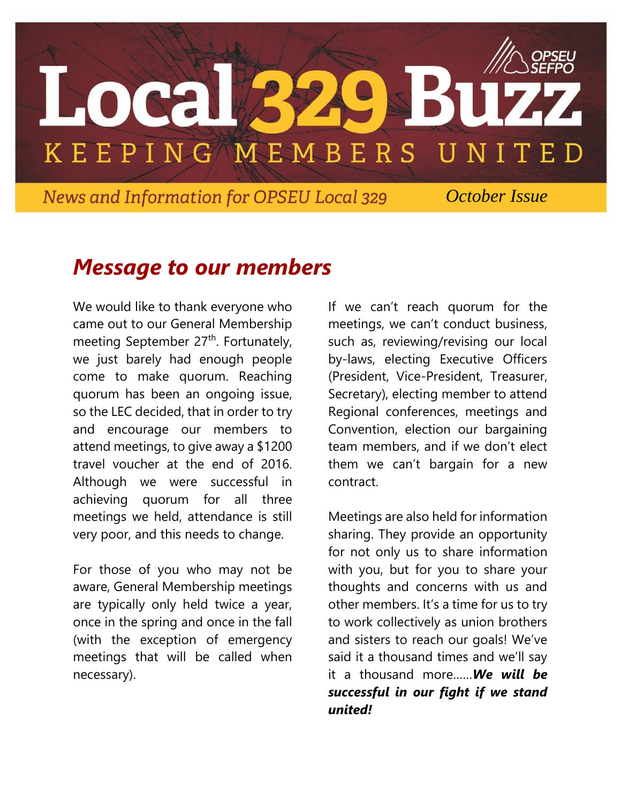

*News and Information for OPSEU Local 329 October Issue* 

### *Message to our members*

We would like to thank everyone who came out to our General Membership meeting September 27<sup>th</sup>. Fortunately, we just barely had enough people come to make quorum. Reaching quorum has been an ongoing issue, so the LEC decided, that in order to try and encourage our members to attend meetings, to give away a \$1200 travel voucher at the end of 2016. Although we were successful in achieving quorum for all three meetings we held, attendance is still very poor, and this needs to change.

For those of you who may not be aware, General Membership meetings are typically only held twice a year, once in the spring and once in the fall (with the exception of emergency meetings that will be called when necessary).

If we can't reach quorum for the meetings, we can't conduct business, such as, reviewing/revising our local by-laws, electing Executive Officers (President, Vice-President, Treasurer, Secretary), electing member to attend Regional conferences, meetings and Convention, election our bargaining team members, and if we don't elect them we can't bargain for a new contract.

Meetings are also held for information sharing. They provide an opportunity for not only us to share information with you, but for you to share your thoughts and concerns with us and other members. It's a time for us to try to work collectively as union brothers and sisters to reach our goals! We've said it a thousand times and we'll say it a thousand more……*We will be successful in our fight if we stand united!*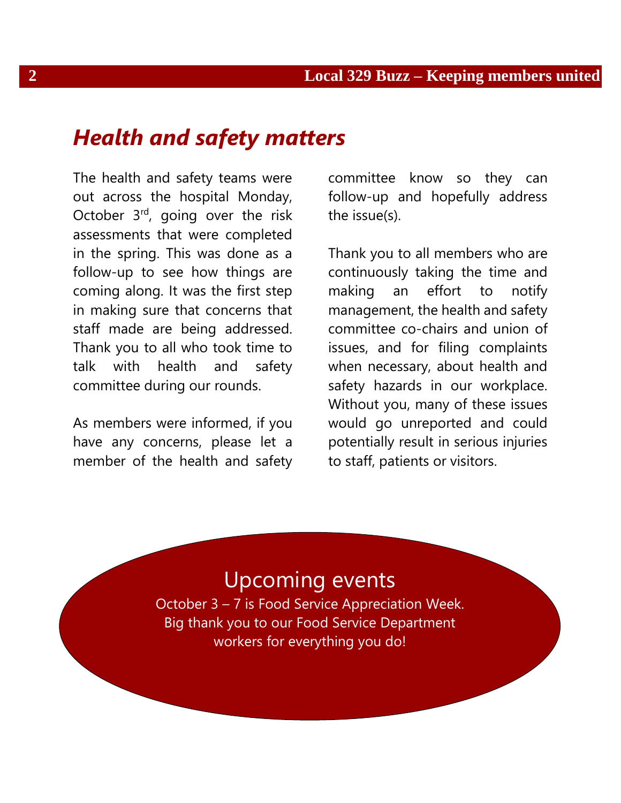### *Health and safety matters*

The health and safety teams were out across the hospital Monday, October 3<sup>rd</sup>, going over the risk assessments that were completed in the spring. This was done as a follow-up to see how things are coming along. It was the first step in making sure that concerns that staff made are being addressed. Thank you to all who took time to talk with health and safety committee during our rounds.

As members were informed, if you have any concerns, please let a member of the health and safety

committee know so they can follow-up and hopefully address the issue(s).

Thank you to all members who are continuously taking the time and making an effort to notify management, the health and safety committee co-chairs and union of issues, and for filing complaints when necessary, about health and safety hazards in our workplace. Without you, many of these issues would go unreported and could potentially result in serious injuries to staff, patients or visitors.

# Upcoming events

October 3 – 7 is Food Service Appreciation Week. Big thank you to our Food Service Department workers for everything you do!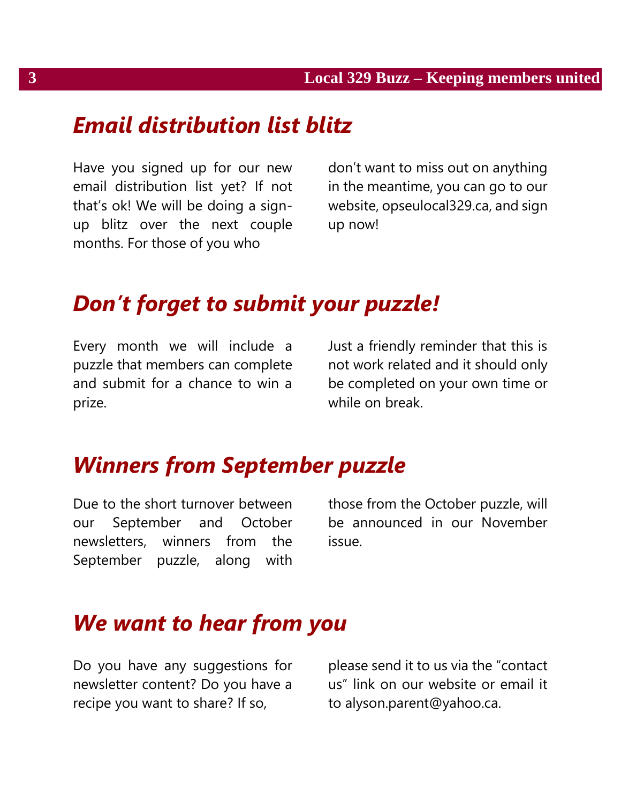# *Email distribution list blitz*

Have you signed up for our new email distribution list yet? If not that's ok! We will be doing a signup blitz over the next couple months. For those of you who

don't want to miss out on anything in the meantime, you can go to our website, opseulocal329.ca, and sign up now!

# *Don't forget to submit your puzzle!*

Every month we will include a puzzle that members can complete and submit for a chance to win a prize.

Just a friendly reminder that this is not work related and it should only be completed on your own time or while on break.

### *Winners from September puzzle*

Due to the short turnover between our September and October newsletters, winners from the September puzzle, along with those from the October puzzle, will be announced in our November issue.

### *We want to hear from you*

Do you have any suggestions for newsletter content? Do you have a recipe you want to share? If so,

please send it to us via the "contact us" link on our website or email it to alyson.parent@yahoo.ca.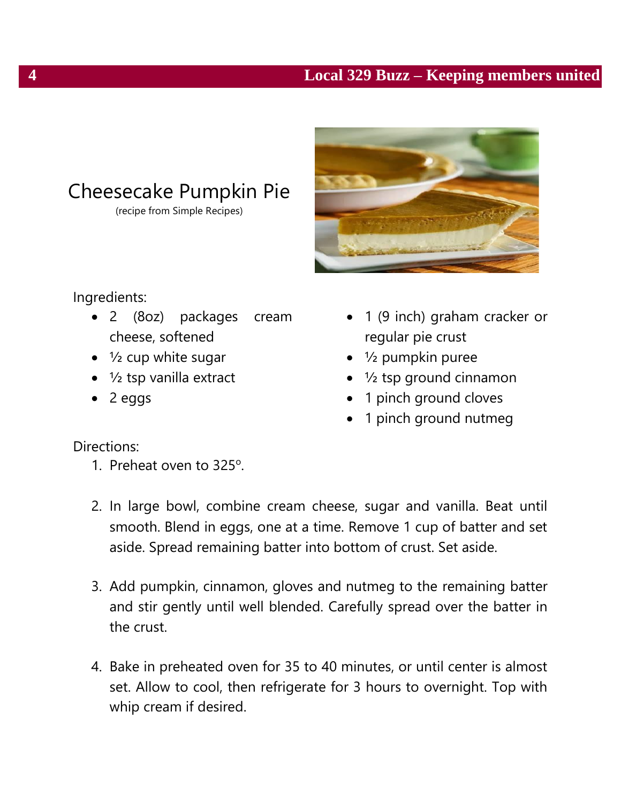#### **4 Local 329 Buzz – Keeping members united**



## Cheesecake Pumpkin Pie

(recipe from Simple Recipes)

#### Ingredients:

- 2 (8oz) packages cream cheese, softened
- $\bullet$   $\frac{1}{2}$  cup white sugar
- $\bullet$  1/<sub>2</sub> tsp vanilla extract
- $\bullet$  2 eggs
- 1 (9 inch) graham cracker or regular pie crust
- $\bullet$  1/<sub>2</sub> pumpkin puree
- ½ tsp ground cinnamon
- 1 pinch ground cloves
- 1 pinch ground nutmeg

#### Directions:

- 1. Preheat oven to 325°.
- 2. In large bowl, combine cream cheese, sugar and vanilla. Beat until smooth. Blend in eggs, one at a time. Remove 1 cup of batter and set aside. Spread remaining batter into bottom of crust. Set aside.
- 3. Add pumpkin, cinnamon, gloves and nutmeg to the remaining batter and stir gently until well blended. Carefully spread over the batter in the crust.
- 4. Bake in preheated oven for 35 to 40 minutes, or until center is almost set. Allow to cool, then refrigerate for 3 hours to overnight. Top with whip cream if desired.